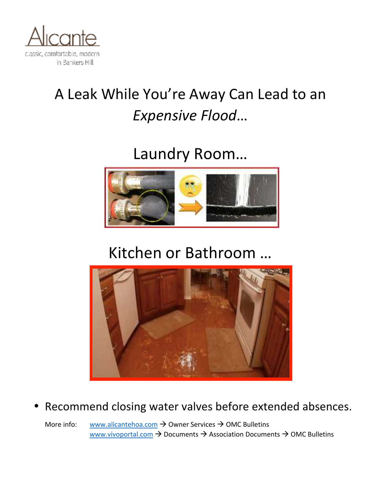

# A Leak While You're Away Can Lead to an *Expensive Flood*…

Laundry Room...



## Kitchen or Bathroom ...



### • Recommend closing water valves before extended absences.

More info: www.alicantehoa.com  $\rightarrow$  Owner Services  $\rightarrow$  OMC Bulletins www.vivoportal.com  $\rightarrow$  Documents  $\rightarrow$  Association Documents  $\rightarrow$  OMC Bulletins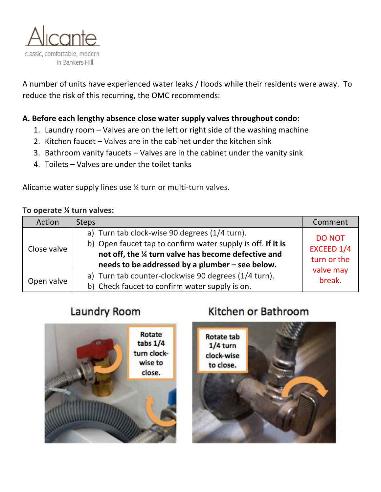

A number of units have experienced water leaks / floods while their residents were away. To reduce the risk of this recurring, the OMC recommends:

### A. Before each lengthy absence close water supply valves throughout condo:

- 1. Laundry room  $-$  Valves are on the left or right side of the washing machine
- 2. Kitchen faucet  $-$  Valves are in the cabinet under the kitchen sink
- 3. Bathroom vanity faucets  $-$  Valves are in the cabinet under the vanity sink
- 4. Toilets Valves are under the toilet tanks

Alicante water supply lines use  $\frac{1}{4}$  turn or multi-turn valves.

#### To operate **%** turn valves:

| Action      | <b>Steps</b>                                                                                                                                                                                                          | Comment                                                           |
|-------------|-----------------------------------------------------------------------------------------------------------------------------------------------------------------------------------------------------------------------|-------------------------------------------------------------------|
| Close valve | a) Turn tab clock-wise 90 degrees (1/4 turn).<br>b) Open faucet tap to confirm water supply is off. If it is<br>not off, the % turn valve has become defective and<br>needs to be addressed by a plumber - see below. | <b>DO NOT</b><br>EXCEED 1/4<br>turn or the<br>valve may<br>break. |
| Open valve  | a) Turn tab counter-clockwise 90 degrees (1/4 turn).<br>b) Check faucet to confirm water supply is on.                                                                                                                |                                                                   |

### Laundry Room



### Kitchen or Bathroom

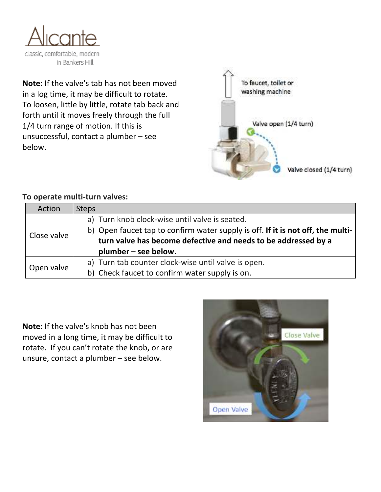

**Note:** If the valve's tab has not been moved in a log time, it may be difficult to rotate. To loosen, little by little, rotate tab back and forth until it moves freely through the full 1/4 turn range of motion. If this is unsuccessful, contact a plumber  $-$  see below.



### To operate multi-turn valves:

| Action      | <b>Steps</b>                                                                    |
|-------------|---------------------------------------------------------------------------------|
| Close valve | a) Turn knob clock-wise until valve is seated.                                  |
|             | b) Open faucet tap to confirm water supply is off. If it is not off, the multi- |
|             | turn valve has become defective and needs to be addressed by a                  |
|             | plumber – see below.                                                            |
| Open valve  | a) Turn tab counter clock-wise until valve is open.                             |
|             | b) Check faucet to confirm water supply is on.                                  |

**Note:** If the valve's knob has not been moved in a long time, it may be difficult to rotate. If you can't rotate the knob, or are unsure, contact a plumber  $-$  see below.